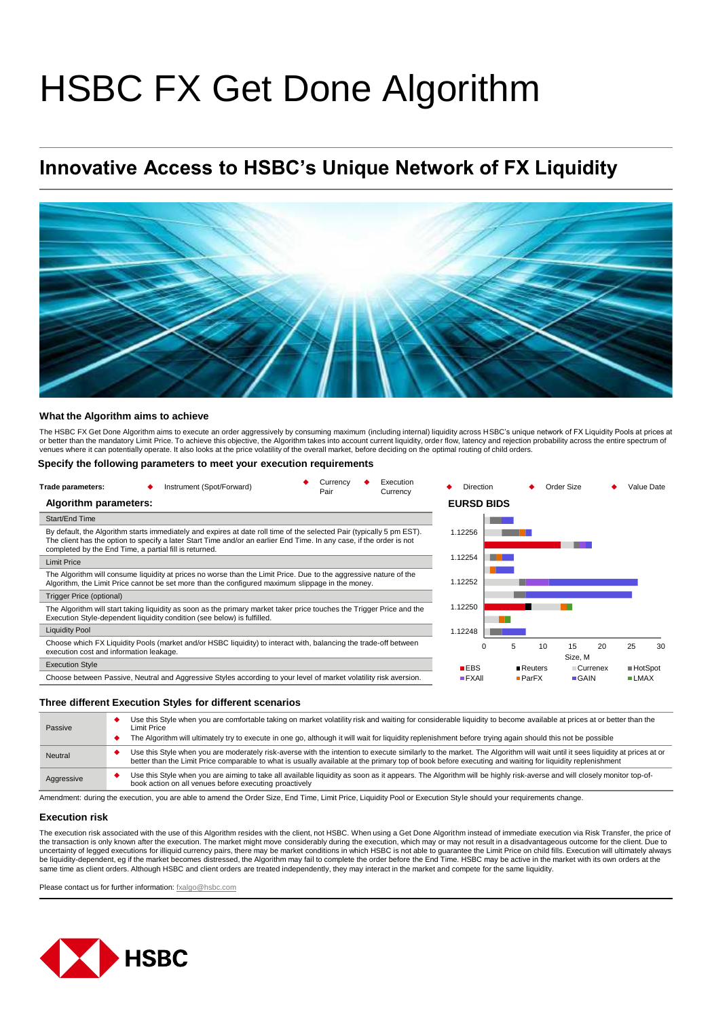# HSBC FX Get Done Algorithm

## **Innovative Access to HSBC's Unique Network of FX Liquidity**



#### **What the Algorithm aims to achieve**

The HSBC FX Get Done Algorithm aims to execute an order aggressively by consuming maximum (including internal) liquidity across HSBC's unique network of FX Liquidity Pools at prices at<br>or better than the mandatory Limit Pr venues where it can potentially operate. It also looks at the price volatility of the overall market, before deciding on the optimal routing of child orders.

#### **Specify the following parameters to meet your execution requirements**

| Execution<br>Currency<br>Instrument (Spot/Forward)<br>Trade parameters:<br>Pair<br>Currency                                                                                                                                                                                                             | Direction            |                | Order Size          |                 | Value Date   |
|---------------------------------------------------------------------------------------------------------------------------------------------------------------------------------------------------------------------------------------------------------------------------------------------------------|----------------------|----------------|---------------------|-----------------|--------------|
| Algorithm parameters:                                                                                                                                                                                                                                                                                   | <b>EURSD BIDS</b>    |                |                     |                 |              |
| Start/End Time                                                                                                                                                                                                                                                                                          |                      |                |                     |                 |              |
| By default, the Algorithm starts immediately and expires at date roll time of the selected Pair (typically 5 pm EST).<br>The client has the option to specify a later Start Time and/or an earlier End Time. In any case, if the order is not<br>completed by the End Time, a partial fill is returned. | 1.12256              |                |                     |                 |              |
| <b>Limit Price</b>                                                                                                                                                                                                                                                                                      | 1.12254              |                |                     |                 |              |
| The Algorithm will consume liquidity at prices no worse than the Limit Price. Due to the aggressive nature of the<br>Algorithm, the Limit Price cannot be set more than the configured maximum slippage in the money.                                                                                   | 1.12252              |                |                     |                 |              |
| Trigger Price (optional)                                                                                                                                                                                                                                                                                |                      |                |                     |                 |              |
| The Algorithm will start taking liquidity as soon as the primary market taker price touches the Trigger Price and the<br>Execution Style-dependent liquidity condition (see below) is fulfilled.                                                                                                        | 1.12250              |                |                     |                 |              |
| <b>Liquidity Pool</b>                                                                                                                                                                                                                                                                                   | 1.12248              |                |                     |                 |              |
| Choose which FX Liquidity Pools (market and/or HSBC liquidity) to interact with, balancing the trade-off between<br>execution cost and information leakage.                                                                                                                                             |                      | 5              | 10<br>15<br>Size, M | 20              | 25<br>30     |
| <b>Execution Style</b>                                                                                                                                                                                                                                                                                  | $B$ EBS              | <b>Reuters</b> |                     | <b>Currenex</b> | ■ HotSpot    |
| Choose between Passive, Neutral and Aggressive Styles according to your level of market volatility risk aversion.                                                                                                                                                                                       | $\blacksquare$ FXAII | $P$ ar $FX$    | $\blacksquare$ GAIN |                 | <b>ELMAX</b> |

#### **Three different Execution Styles for different scenarios**

| Passive    | Use this Style when you are comfortable taking on market volatility risk and waiting for considerable liquidity to become available at prices at or better than the<br>Limit Price<br>The Algorithm will ultimately try to execute in one go, although it will wait for liquidity replenishment before trying again should this not be possible |
|------------|-------------------------------------------------------------------------------------------------------------------------------------------------------------------------------------------------------------------------------------------------------------------------------------------------------------------------------------------------|
| Neutral    | Use this Style when you are moderately risk-averse with the intention to execute similarly to the market. The Algorithm will wait until it sees liquidity at prices at or<br>better than the Limit Price comparable to what is usually available at the primary top of book before executing and waiting for liquidity replenishment            |
| Aggressive | Use this Style when you are aiming to take all available liquidity as soon as it appears. The Algorithm will be highly risk-averse and will closely monitor top-of-<br>book action on all venues before executing proactively                                                                                                                   |

Amendment: during the execution, you are able to amend the Order Size, End Time, Limit Price, Liquidity Pool or Execution Style should your requirements change.

#### **Execution risk**

The execution risk associated with the use of this Algorithm resides with the client, not HSBC. When using a Get Done Algorithm instead of immediate execution via Risk Transfer, the price of<br>the transaction is only known a uncertainty of legged executions for illiquid currency pairs, there may be market conditions in which HSBC is not able to guarantee the Limit Price on child fills. Execution will ultimately always be liquidity-dependent, eg if the market becomes distressed, the Algorithm may fail to complete the order before the End Time. HSBC may be active in the market with its own orders at the<br>same time as client orders. Althoug

Please contact us for further information: [fxalgo@hsbc.com](mailto:fxalgo@hsbc.com)